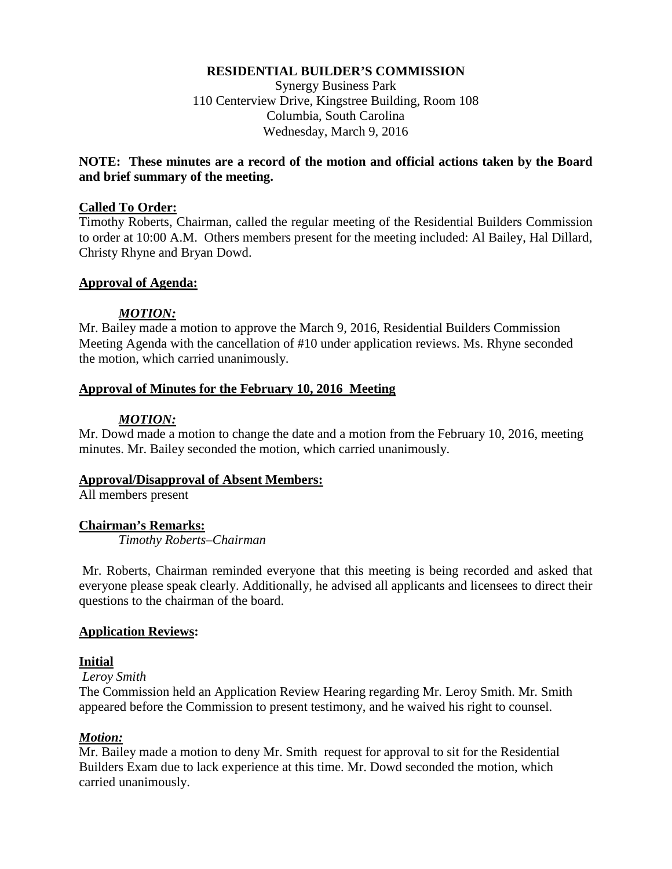#### **RESIDENTIAL BUILDER'S COMMISSION**

Synergy Business Park 110 Centerview Drive, Kingstree Building, Room 108 Columbia, South Carolina Wednesday, March 9, 2016

### **NOTE: These minutes are a record of the motion and official actions taken by the Board and brief summary of the meeting.**

#### **Called To Order:**

Timothy Roberts, Chairman, called the regular meeting of the Residential Builders Commission to order at 10:00 A.M. Others members present for the meeting included: Al Bailey, Hal Dillard, Christy Rhyne and Bryan Dowd.

### **Approval of Agenda:**

#### *MOTION:*

Mr. Bailey made a motion to approve the March 9, 2016, Residential Builders Commission Meeting Agenda with the cancellation of #10 under application reviews. Ms. Rhyne seconded the motion, which carried unanimously.

#### **Approval of Minutes for the February 10, 2016 Meeting**

#### *MOTION:*

Mr. Dowd made a motion to change the date and a motion from the February 10, 2016, meeting minutes. Mr. Bailey seconded the motion, which carried unanimously.

#### **Approval/Disapproval of Absent Members:**

All members present

### **Chairman's Remarks:**

*Timothy Roberts–Chairman*

Mr. Roberts, Chairman reminded everyone that this meeting is being recorded and asked that everyone please speak clearly. Additionally, he advised all applicants and licensees to direct their questions to the chairman of the board.

### **Application Reviews:**

### **Initial**

#### *Leroy Smith*

The Commission held an Application Review Hearing regarding Mr. Leroy Smith. Mr. Smith appeared before the Commission to present testimony, and he waived his right to counsel.

### *Motion:*

Mr. Bailey made a motion to deny Mr. Smith request for approval to sit for the Residential Builders Exam due to lack experience at this time. Mr. Dowd seconded the motion, which carried unanimously.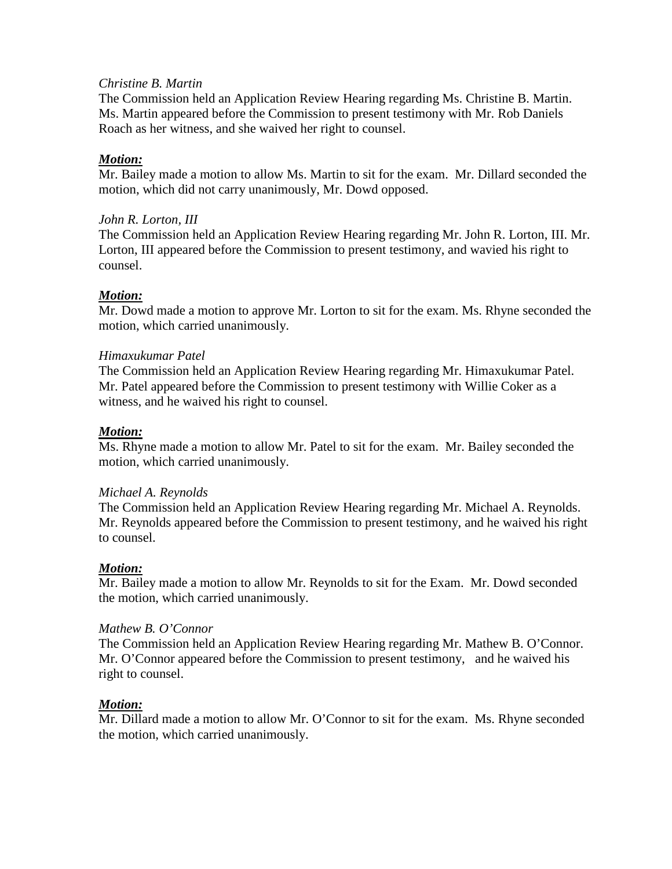#### *Christine B. Martin*

The Commission held an Application Review Hearing regarding Ms. Christine B. Martin. Ms. Martin appeared before the Commission to present testimony with Mr. Rob Daniels Roach as her witness, and she waived her right to counsel.

### *Motion:*

Mr. Bailey made a motion to allow Ms. Martin to sit for the exam. Mr. Dillard seconded the motion, which did not carry unanimously, Mr. Dowd opposed.

### *John R. Lorton, III*

The Commission held an Application Review Hearing regarding Mr. John R. Lorton, III. Mr. Lorton, III appeared before the Commission to present testimony, and wavied his right to counsel.

### *Motion:*

Mr. Dowd made a motion to approve Mr. Lorton to sit for the exam. Ms. Rhyne seconded the motion, which carried unanimously.

#### *Himaxukumar Patel*

The Commission held an Application Review Hearing regarding Mr. Himaxukumar Patel. Mr. Patel appeared before the Commission to present testimony with Willie Coker as a witness, and he waived his right to counsel.

### *Motion:*

Ms. Rhyne made a motion to allow Mr. Patel to sit for the exam. Mr. Bailey seconded the motion, which carried unanimously.

#### *Michael A. Reynolds*

The Commission held an Application Review Hearing regarding Mr. Michael A. Reynolds. Mr. Reynolds appeared before the Commission to present testimony, and he waived his right to counsel.

### *Motion:*

Mr. Bailey made a motion to allow Mr. Reynolds to sit for the Exam. Mr. Dowd seconded the motion, which carried unanimously.

#### *Mathew B. O'Connor*

The Commission held an Application Review Hearing regarding Mr. Mathew B. O'Connor. Mr. O'Connor appeared before the Commission to present testimony, and he waived his right to counsel.

### *Motion:*

Mr. Dillard made a motion to allow Mr. O'Connor to sit for the exam. Ms. Rhyne seconded the motion, which carried unanimously.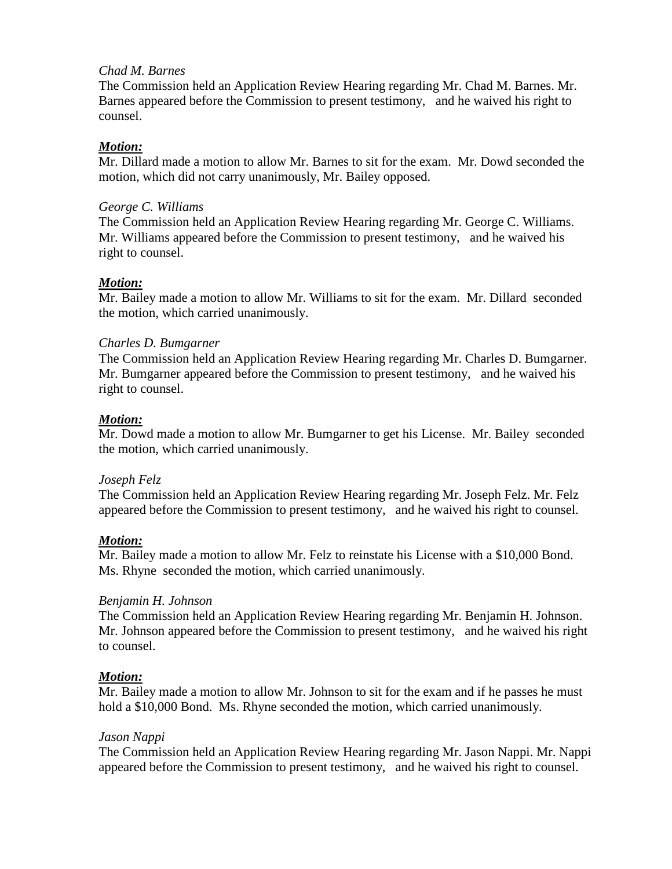# *Chad M. Barnes*

The Commission held an Application Review Hearing regarding Mr. Chad M. Barnes. Mr. Barnes appeared before the Commission to present testimony, and he waived his right to counsel.

### *Motion:*

Mr. Dillard made a motion to allow Mr. Barnes to sit for the exam. Mr. Dowd seconded the motion, which did not carry unanimously, Mr. Bailey opposed.

### *George C. Williams*

The Commission held an Application Review Hearing regarding Mr. George C. Williams. Mr. Williams appeared before the Commission to present testimony, and he waived his right to counsel.

### *Motion:*

Mr. Bailey made a motion to allow Mr. Williams to sit for the exam. Mr. Dillard seconded the motion, which carried unanimously.

## *Charles D. Bumgarner*

The Commission held an Application Review Hearing regarding Mr. Charles D. Bumgarner. Mr. Bumgarner appeared before the Commission to present testimony, and he waived his right to counsel.

### *Motion:*

Mr. Dowd made a motion to allow Mr. Bumgarner to get his License. Mr. Bailey seconded the motion, which carried unanimously.

### *Joseph Felz*

The Commission held an Application Review Hearing regarding Mr. Joseph Felz. Mr. Felz appeared before the Commission to present testimony, and he waived his right to counsel.

# *Motion:*

Mr. Bailey made a motion to allow Mr. Felz to reinstate his License with a \$10,000 Bond. Ms. Rhyne seconded the motion, which carried unanimously.

### *Benjamin H. Johnson*

The Commission held an Application Review Hearing regarding Mr. Benjamin H. Johnson. Mr. Johnson appeared before the Commission to present testimony, and he waived his right to counsel.

### *Motion:*

Mr. Bailey made a motion to allow Mr. Johnson to sit for the exam and if he passes he must hold a \$10,000 Bond. Ms. Rhyne seconded the motion, which carried unanimously.

### *Jason Nappi*

The Commission held an Application Review Hearing regarding Mr. Jason Nappi. Mr. Nappi appeared before the Commission to present testimony, and he waived his right to counsel.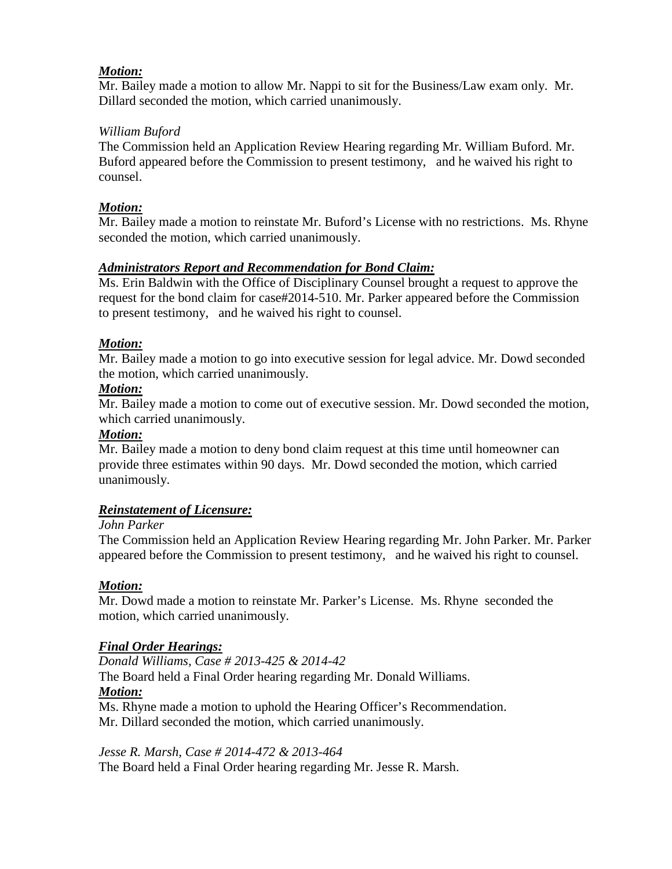# *Motion:*

Mr. Bailey made a motion to allow Mr. Nappi to sit for the Business/Law exam only. Mr. Dillard seconded the motion, which carried unanimously.

## *William Buford*

The Commission held an Application Review Hearing regarding Mr. William Buford. Mr. Buford appeared before the Commission to present testimony, and he waived his right to counsel.

## *Motion:*

Mr. Bailey made a motion to reinstate Mr. Buford's License with no restrictions. Ms. Rhyne seconded the motion, which carried unanimously.

# *Administrators Report and Recommendation for Bond Claim:*

Ms. Erin Baldwin with the Office of Disciplinary Counsel brought a request to approve the request for the bond claim for case#2014-510. Mr. Parker appeared before the Commission to present testimony, and he waived his right to counsel.

## *Motion:*

Mr. Bailey made a motion to go into executive session for legal advice. Mr. Dowd seconded the motion, which carried unanimously.

### *Motion:*

Mr. Bailey made a motion to come out of executive session. Mr. Dowd seconded the motion, which carried unanimously.

### *Motion:*

Mr. Bailey made a motion to deny bond claim request at this time until homeowner can provide three estimates within 90 days. Mr. Dowd seconded the motion, which carried unanimously.

# *Reinstatement of Licensure:*

### *John Parker*

The Commission held an Application Review Hearing regarding Mr. John Parker. Mr. Parker appeared before the Commission to present testimony, and he waived his right to counsel.

### *Motion:*

Mr. Dowd made a motion to reinstate Mr. Parker's License. Ms. Rhyne seconded the motion, which carried unanimously.

### *Final Order Hearings:*

 *Donald Williams, Case # 2013-425 & 2014-42* The Board held a Final Order hearing regarding Mr. Donald Williams. *Motion:* Ms. Rhyne made a motion to uphold the Hearing Officer's Recommendation.

Mr. Dillard seconded the motion, which carried unanimously.

*Jesse R. Marsh, Case # 2014-472 & 2013-464*

The Board held a Final Order hearing regarding Mr. Jesse R. Marsh.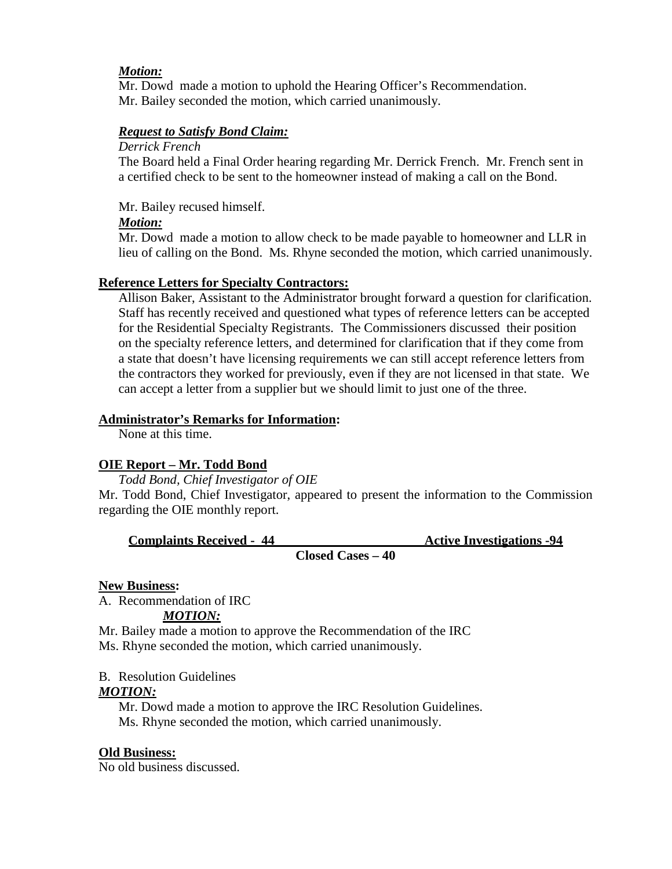## *Motion:*

Mr. Dowd made a motion to uphold the Hearing Officer's Recommendation. Mr. Bailey seconded the motion, which carried unanimously.

# *Request to Satisfy Bond Claim:*

### *Derrick French*

The Board held a Final Order hearing regarding Mr. Derrick French. Mr. French sent in a certified check to be sent to the homeowner instead of making a call on the Bond.

Mr. Bailey recused himself.

## *Motion:*

Mr. Dowd made a motion to allow check to be made payable to homeowner and LLR in lieu of calling on the Bond. Ms. Rhyne seconded the motion, which carried unanimously.

## **Reference Letters for Specialty Contractors:**

Allison Baker, Assistant to the Administrator brought forward a question for clarification. Staff has recently received and questioned what types of reference letters can be accepted for the Residential Specialty Registrants. The Commissioners discussed their position on the specialty reference letters, and determined for clarification that if they come from a state that doesn't have licensing requirements we can still accept reference letters from the contractors they worked for previously, even if they are not licensed in that state. We can accept a letter from a supplier but we should limit to just one of the three.

## **Administrator's Remarks for Information:**

None at this time.

# **OIE Report – Mr. Todd Bond**

*Todd Bond, Chief Investigator of OIE*

Mr. Todd Bond, Chief Investigator, appeared to present the information to the Commission regarding the OIE monthly report.

| <b>Complaints Received - 44</b> |                   | <b>Active Investigations -94</b> |
|---------------------------------|-------------------|----------------------------------|
|                                 | Closed Cases – 40 |                                  |

### **New Business:**

A. Recommendation of IRC

# *MOTION:*

Mr. Bailey made a motion to approve the Recommendation of the IRC Ms. Rhyne seconded the motion, which carried unanimously.

B. Resolution Guidelines

# *MOTION:*

Mr. Dowd made a motion to approve the IRC Resolution Guidelines. Ms. Rhyne seconded the motion, which carried unanimously.

### **Old Business:**

No old business discussed.